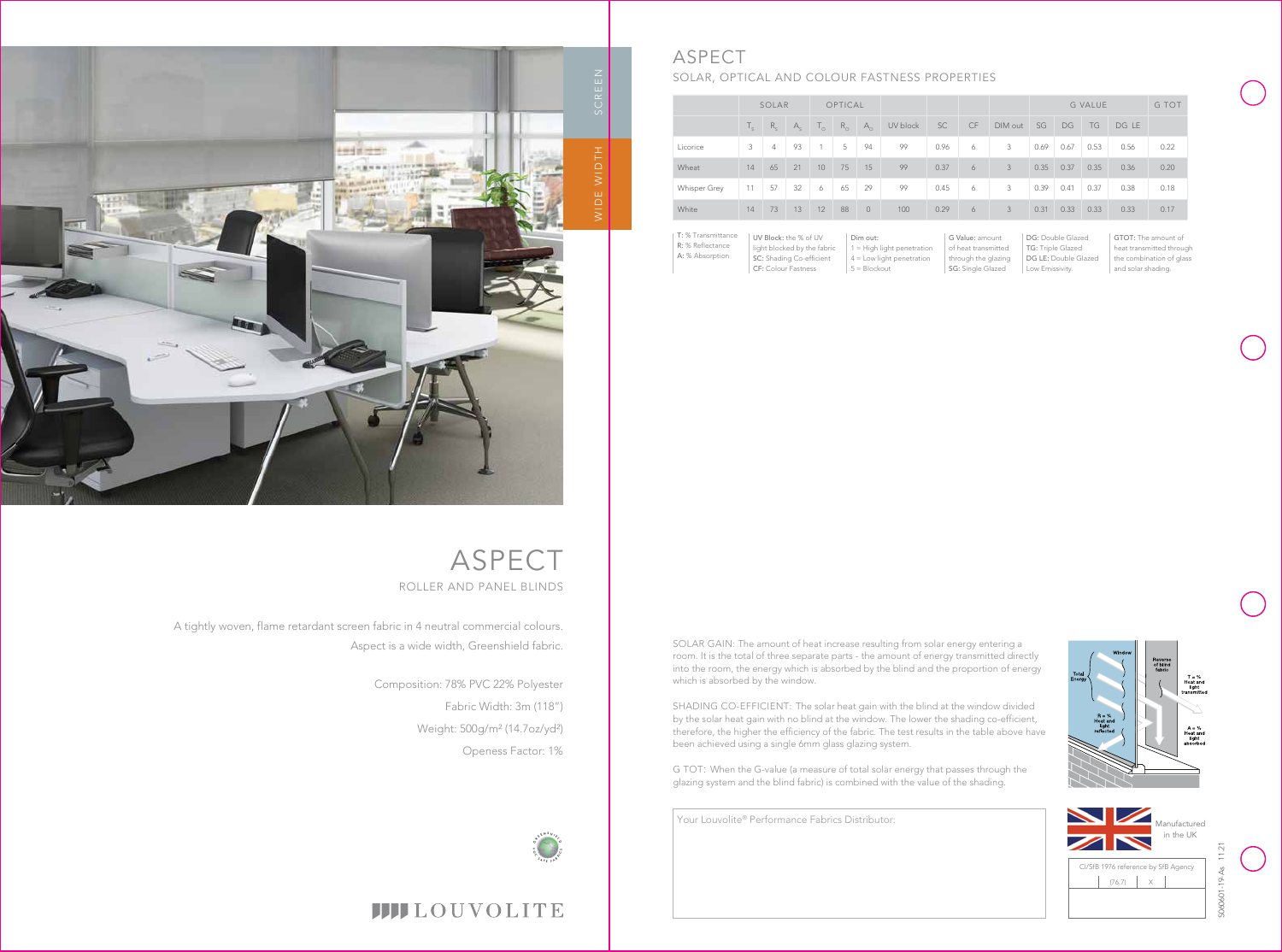A tightly woven, flame retardant screen fabric in 4 neutral commercial colours. Aspect is a wide width, Greenshield fabric.

> Composition: 78% PVC 22% Polyester Fabric Width: 3m (118") Weight: 500g/m² (14.7oz/yd²) Openess Factor: 1%



# **IIII**LOUVOLITE

Your Louvolite® Performance Fabrics Distributor:

DG: Double Glazed

|              |                | SOLAR          |         |                      | OPTICAL     |                |          |      |           |         |      |      | <b>G VALUE</b> |       | G TOT |
|--------------|----------------|----------------|---------|----------------------|-------------|----------------|----------|------|-----------|---------|------|------|----------------|-------|-------|
|              | $\mathbb{I}_c$ | $R_{c}$        | $A_{c}$ | $\mathsf{L}_{\circ}$ | $R_{\odot}$ | $A_{\Omega}$   | UV block | SC   | <b>CF</b> | DIM out | SG   | DG   | TG             | DG LE |       |
| Licorice     | 3              | $\overline{4}$ | 93      | 1                    | 5           | 94             | 99       | 0.96 | 6         | 3       | 0.69 | 0.67 | 0.53           | 0.56  | 0.22  |
| Wheat        | 14             | 65             | 21      | 10                   | 75          | 15             | 99       | 0.37 | 6         | 3       | 0.35 | 0.37 | 0.35           | 0.36  | 0.20  |
| Whisper Grey | 11             | 57             | 32      | 6                    | 65          | 29             | 99       | 0.45 | 6         | 3       | 0.39 | 0.41 | 0.37           | 0.38  | 0.18  |
| White        | 14             | 73             | 13      | 12                   | 88          | $\overline{0}$ | 100      | 0.29 | 6         | 3       | 0.31 | 0.33 | 0.33           | 0.33  | 0.17  |

| $R = \%$<br><b>Heat and</b><br>light<br>reflected |   | transmitted<br>$A = \%$<br>Heat and<br>light<br>absorbed |
|---------------------------------------------------|---|----------------------------------------------------------|
|                                                   |   | Manufactured<br>in the UK                                |
| CI/SfB 1976 reference by SfB Agency               |   |                                                          |
| (76.7)                                            | X |                                                          |
|                                                   |   |                                                          |



# ASPECT

# SOLAR, OPTICAL AND COLOUR FASTNESS PROPERTIES

ASPECT ROLLER AND PANEL BLINDS

UV Block: the % of UV light blocked by the fabric SC: Shading Co-efficient CF: Colour Fastness Dim out: 1 = High light penetration 4 = Low light penetration  $5 = Blockout$ T: % Transmittance R: % Reflectance A: % Absorption

G Value: amount of heat transmitted through the glazing SG: Single Glazed

TG: Triple Glazed

DG LE: Double Glazed

Low Emissivity.

GTOT: The amount of heat transmitted through the combination of glass and solar shading.





S060601-19-As 11.21

T = %<br>Heat and

SOLAR GAIN: The amount of heat increase resulting from solar energy entering a room. It is the total of three separate parts - the amount of energy transmitted directly into the room, the energy which is absorbed by the blind and the proportion of energy which is absorbed by the window.

SHADING CO-EFFICIENT: The solar heat gain with the blind at the window divided by the solar heat gain with no blind at the window. The lower the shading co-efficient, therefore, the higher the efficiency of the fabric. The test results in the table above have been achieved using a single 6mm glass glazing system.

G TOT: When the G-value (a measure of total solar energy that passes through the glazing system and the blind fabric) is combined with the value of the shading.